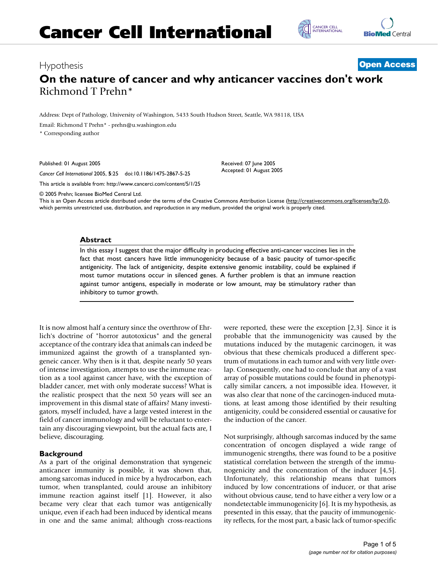

## Hypothesis **[Open Access](http://www.biomedcentral.com/info/about/charter/)**

# **On the nature of cancer and why anticancer vaccines don't work** Richmond T Prehn\*

Address: Dept of Pathology, University of Washington, 5433 South Hudson Street, Seattle, WA 98118, USA

Email: Richmond T Prehn\* - prehn@u.washington.edu

\* Corresponding author

Published: 01 August 2005

Received: 07 June 2005 Accepted: 01 August 2005

*Cancer Cell International* 2005, **5**:25 doi:10.1186/1475-2867-5-25 [This article is available from: http://www.cancerci.com/content/5/1/25](http://www.cancerci.com/content/5/1/25)

© 2005 Prehn; licensee BioMed Central Ltd.

This is an Open Access article distributed under the terms of the Creative Commons Attribution License [\(http://creativecommons.org/licenses/by/2.0\)](http://creativecommons.org/licenses/by/2.0), which permits unrestricted use, distribution, and reproduction in any medium, provided the original work is properly cited.

#### **Abstract**

In this essay I suggest that the major difficulty in producing effective anti-cancer vaccines lies in the fact that most cancers have little immunogenicity because of a basic paucity of tumor-specific antigenicity. The lack of antigenicity, despite extensive genomic instability, could be explained if most tumor mutations occur in silenced genes. A further problem is that an immune reaction against tumor antigens, especially in moderate or low amount, may be stimulatory rather than inhibitory to tumor growth.

It is now almost half a century since the overthrow of Ehrlich's doctrine of "horror autotoxicus" and the general acceptance of the contrary idea that animals can indeed be immunized against the growth of a transplanted syngeneic cancer. Why then is it that, despite nearly 50 years of intense investigation, attempts to use the immune reaction as a tool against cancer have, with the exception of bladder cancer, met with only moderate success? What is the realistic prospect that the next 50 years will see an improvement in this dismal state of affairs? Many investigators, myself included, have a large vested interest in the field of cancer immunology and will be reluctant to entertain any discouraging viewpoint, but the actual facts are, I believe, discouraging.

#### **Background**

As a part of the original demonstration that syngeneic anticancer immunity is possible, it was shown that, among sarcomas induced in mice by a hydrocarbon, each tumor, when transplanted, could arouse an inhibitory immune reaction against itself [1]. However, it also became very clear that each tumor was antigenically unique, even if each had been induced by identical means in one and the same animal; although cross-reactions were reported, these were the exception [2,3]. Since it is probable that the immunogenicity was caused by the mutations induced by the mutagenic carcinogen, it was obvious that these chemicals produced a different spectrum of mutations in each tumor and with very little overlap. Consequently, one had to conclude that any of a vast array of possible mutations could be found in phenotypically similar cancers, a not impossible idea. However, it was also clear that none of the carcinogen-induced mutations, at least among those identified by their resulting antigenicity, could be considered essential or causative for the induction of the cancer.

Not surprisingly, although sarcomas induced by the same concentration of oncogen displayed a wide range of immunogenic strengths, there was found to be a positive statistical correlation between the strength of the immunogenicity and the concentration of the inducer [4,5]. Unfortunately, this relationship means that tumors induced by low concentrations of inducer, or that arise without obvious cause, tend to have either a very low or a nondetectable immunogenicity [6]. It is my hypothesis, as presented in this essay, that the paucity of immunogenicity reflects, for the most part, a basic lack of tumor-specific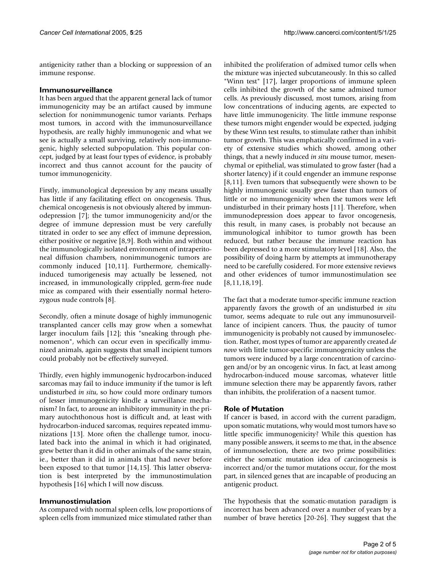antigenicity rather than a blocking or suppression of an immune response.

#### **Immunosurveillance**

It has been argued that the apparent general lack of tumor immunogenicity may be an artifact caused by immune selection for nonimmunogenic tumor variants. Perhaps most tumors, in accord with the immunosurveillance hypothesis, are really highly immunogenic and what we see is actually a small surviving, relatively non-immunogenic, highly selected subpopulation. This popular concept, judged by at least four types of evidence, is probably incorrect and thus cannot account for the paucity of tumor immunogenicity.

Firstly, immunological depression by any means usually has little if any facilitating effect on oncogenesis. Thus, chemical oncogenesis is not obviously altered by immunodepression [7]; the tumor immunogenicity and/or the degree of immune depression must be very carefully titrated in order to see any effect of immune depression, either positive or negative [8,9]. Both within and without the immunologically isolated environment of intraperitoneal diffusion chambers, nonimmunogenic tumors are commonly induced [10,11]. Furthermore, chemicallyinduced tumorigenesis may actually be lessened, not increased, in immunologically crippled, germ-free nude mice as compared with their essentially normal heterozygous nude controls [8].

Secondly, often a minute dosage of highly immunogenic transplanted cancer cells may grow when a somewhat larger inoculum fails [12]; this "sneaking through phenomenon", which can occur even in specifically immunized animals, again suggests that small incipient tumors could probably not be effectively surveyed.

Thirdly, even highly immunogenic hydrocarbon-induced sarcomas may fail to induce immunity if the tumor is left undisturbed *in situ*, so how could more ordinary tumors of lesser immunogenicity kindle a surveillance mechanism? In fact, to arouse an inhibitory immunity in the primary autochthonous host is difficult and, at least with hydrocarbon-induced sarcomas, requires repeated immunizations [13]. More often the challenge tumor, inoculated back into the animal in which it had originated, grew better than it did in other animals of the same strain, ie., better than it did in animals that had never before been exposed to that tumor [14,15]. This latter observation is best interpreted by the immunostimulation hypothesis [16] which I will now discuss.

#### **Immunostimulation**

As compared with normal spleen cells, low proportions of spleen cells from immunized mice stimulated rather than

inhibited the proliferation of admixed tumor cells when the mixture was injected subcutaneously. In this so called "Winn test" [17], larger proportions of immune spleen cells inhibited the growth of the same admixed tumor cells. As previously discussed, most tumors, arising from low concentrations of inducing agents, are expected to have little immunogenicity. The little immune response these tumors might engender would be expected, judging by these Winn test results, to stimulate rather than inhibit tumor growth. This was emphatically confirmed in a variety of extensive studies which showed, among other things, that a newly induced *in situ* mouse tumor, mesenchymal or epithelial, was stimulated to grow faster (had a shorter latency) if it could engender an immune response [8,11]. Even tumors that subsequently were shown to be highly immunogenic usually grew faster than tumors of little or no immunogenicity when the tumors were left undisturbed in their primary hosts [11]. Therefore, when immunodepression does appear to favor oncogenesis, this result, in many cases, is probably not because an immunological inhibitor to tumor growth has been reduced, but rather because the immune reaction has been depressed to a more stimulatory level [18]. Also, the possibility of doing harm by attempts at immunotherapy need to be carefully cosidered. For more extensive reviews and other evidences of tumor immunostimulation see [8,11,18,19].

The fact that a moderate tumor-specific immune reaction apparently favors the growth of an undisturbed *in situ* tumor, seems adequate to rule out any immunosurveillance of incipient cancers. Thus, the paucity of tumor immunogenicity is probably not caused by immunoselection. Rather, most types of tumor are apparently created *de novo* with little tumor-specific immunogenicity unless the tumors were induced by a large concentration of carcinogen and/or by an oncogenic virus. In fact, at least among hydrocarbon-induced mouse sarcomas, whatever little immune selection there may be apparently favors, rather than inhibits, the proliferation of a nacsent tumor.

#### **Role of Mutation**

If cancer is based, in accord with the current paradigm, upon somatic mutations, why would most tumors have so little specific immunogenicity? While this question has many possible answers, it seems to me that, in the absence of immunoselection, there are two prime possibilities: either the somatic mutation idea of carcinogenesis is incorrect and/or the tumor mutations occur, for the most part, in silenced genes that are incapable of producing an antigenic product.

The hypothesis that the somatic-mutation paradigm is incorrect has been advanced over a number of years by a number of brave heretics [20-26]. They suggest that the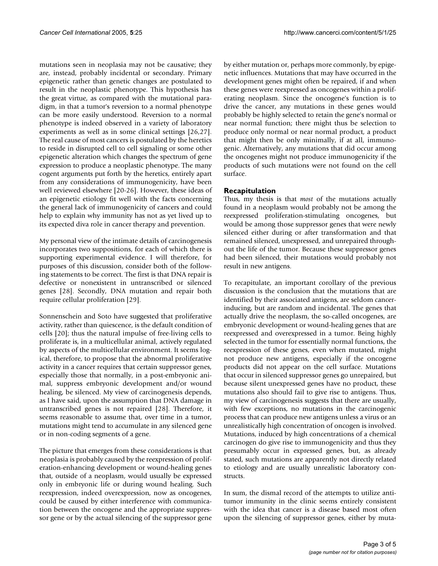mutations seen in neoplasia may not be causative; they are, instead, probably incidental or secondary. Primary epigenetic rather than genetic changes are postulated to result in the neoplastic phenotype. This hypothesis has the great virtue, as compared with the mutational paradigm, in that a tumor's reversion to a normal phenotype can be more easily understood. Reversion to a normal phenotype is indeed observed in a variety of laboratory experiments as well as in some clinical settings [26,27]. The real cause of most cancers is postulated by the heretics to reside in disrupted cell to cell signaling or some other epigenetic alteration which changes the spectrum of gene expression to produce a neoplastic phenotype. The many cogent arguments put forth by the heretics, entirely apart from any considerations of immunogenicity, have been well reviewed elsewhere [20-26]. However, these ideas of an epigenetic etiology fit well with the facts concerning the general lack of immunogenicity of cancers and could help to explain why immunity has not as yet lived up to its expected diva role in cancer therapy and prevention.

My personal view of the intimate details of carcinogenesis incorporates two suppositions, for each of which there is supporting experimental evidence. I will therefore, for purposes of this discussion, consider both of the following statements to be correct. The first is that DNA repair is defective or nonexistent in untranscribed or silenced genes [28]. Secondly, DNA mutation and repair both require cellular proliferation [29].

Sonnenschein and Soto have suggested that proliferative activity, rather than quiescence, is the default condition of cells [20]; thus the natural impulse of free-living cells to proliferate is, in a multicellular animal, actively regulated by aspects of the multicellular environment. It seems logical, therefore, to propose that the abnormal proliferative activity in a cancer requires that certain suppressor genes, especially those that normally, in a post-embryonic animal, suppress embryonic development and/or wound healing, be silenced. My view of carcinogenesis depends, as I have said, upon the assumption that DNA damage in untranscribed genes is not repaired [28]. Therefore, it seems reasonable to assume that, over time in a tumor, mutations might tend to accumulate in any silenced gene or in non-coding segments of a gene.

The picture that emerges from these considerations is that neoplasia is probably caused by the reexpression of proliferation-enhancing development or wound-healing genes that, outside of a neoplasm, would usually be expressed only in embryonic life or during wound healing. Such reexpression, indeed overexpression, now as oncogenes, could be caused by either interference with communication between the oncogene and the appropriate suppressor gene or by the actual silencing of the suppressor gene by either mutation or, perhaps more commonly, by epigenetic influences. Mutations that may have occurred in the development genes might often be repaired, if and when these genes were reexpressed as oncogenes within a proliferating neoplasm. Since the oncogene's function is to drive the cancer, any mutations in these genes would probably be highly selected to retain the gene's normal or near normal function; there might thus be selection to produce only normal or near normal product, a product that might then be only minimally, if at all, immunogenic. Alternatively, any mutations that did occur among the oncogenes might not produce immunogenicity if the products of such mutations were not found on the cell surface.

### **Recapitulation**

Thus, my thesis is that *most* of the mutations actually found in a neoplasm would probably not be among the reexpressed proliferation-stimulating oncogenes, but would be among those suppressor genes that were newly silenced either during or after transformation and that remained silenced, unexpressed, and unrepaired throughout the life of the tumor. Because these suppressor genes had been silenced, their mutations would probably not result in new antigens.

To recapitulate, an important corollary of the previous discussion is the conclusion that the mutations that are identified by their associated antigens, are seldom cancerinducing, but are random and incidental. The genes that actually drive the neoplasm, the so-called oncogenes, are embryonic development or wound-healing genes that are reexpressed and overexpressed in a tumor. Being highly selected in the tumor for essentially normal functions, the reexpression of these genes, even when mutated, might not produce new antigens, especially if the oncogene products did not appear on the cell surface. Mutations that occur in silenced suppressor genes go unrepaired, but because silent unexpressed genes have no product, these mutations also should fail to give rise to antigens. Thus, my view of carcinogenesis suggests that there are usually, with few exceptions, no mutations in the carcinogenic process that can produce new antigens unless a virus or an unrealistically high concentration of oncogen is involved. Mutations, induced by high concentrations of a chemical carcinogen do give rise to immunogenicity and thus they presumably occur in expressed genes, but, as already stated, such mutations are apparently not directly related to etiology and are usually unrealistic laboratory constructs.

In sum, the dismal record of the attempts to utilize antitumor immunity in the clinic seems entirely consistent with the idea that cancer is a disease based most often upon the silencing of suppressor genes, either by muta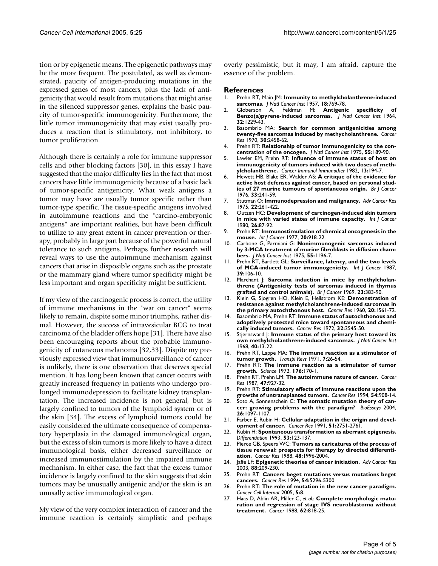tion or by epigenetic means. The epigenetic pathways may be the more frequent. The postulated, as well as demonstrated, paucity of antigen-producing mutations in the expressed genes of most cancers, plus the lack of antigenicity that would result from mutations that might arise in the silenced suppressor genes, explains the basic paucity of tumor-specific immunogenicity. Furthermore, the little tumor immunogenicity that may exist usually produces a reaction that is stimulatory, not inhibitory, to tumor proliferation.

Although there is certainly a role for immune suppressor cells and other blocking factors [30], in this essay I have suggested that the major difficulty lies in the fact that most cancers have little immunogenicity because of a basic lack of tumor-specific antigenicity. What weak antigens a tumor may have are usually tumor specific rather than tumor-type specific. The tissue-specific antigens involved in autoimmune reactions and the "carcino-embryonic antigens" are important realities, but have been difficult to utilize to any great extent in cancer prevention or therapy, probably in large part because of the powerful natural tolerance to such antigens. Perhaps further research will reveal ways to use the autoimmune mechanism against cancers that arise in disposible organs such as the prostate or the mammary gland where tumor specificity might be less important and organ specificity might be sufficient.

If my view of the carcinogenic process is correct, the utility of immune mechanisms in the "war on cancer" seems likely to remain, dispite some minor triumphs, rather dismal. However, the success of intravesicular BCG to treat carcinoma of the bladder offers hope [31]. There have also been encouraging reports about the probable immunogenicity of cutaneous melanoma [32,33]. Dispite my previously expressed view that immunosurveillance of cancer is unlikely, there is one observation that deserves special mention. It has long been known that cancer occurs with greatly increased frequency in patients who undergo prolonged immunodepression to facilitate kidney transplantation. The increased incidence is not general, but is largely confined to tumors of the lymphoid system or of the skin [34]. The excess of lymphoid tumors could be easily considered the ultimate consequence of compensatory hyperplasia in the damaged immunological organ, but the excess of skin tumors is more likely to have a direct immunological basis, either decreased surveillance or increased immunostimulation by the impaired immune mechanism. In either case, the fact that the excess tumor incidence is largely confined to the skin suggests that skin tumors may be unusually antigenic and/or the skin is an unusally active immunological organ.

My view of the very complex interaction of cancer and the immune reaction is certainly simplistic and perhaps overly pessimistic, but it may, I am afraid, capture the essence of the problem.

#### **References**

- 1. Prehn RT, Main JM: **[Immunity to methylcholanthrene-induced](http://www.ncbi.nlm.nih.gov/entrez/query.fcgi?cmd=Retrieve&db=PubMed&dopt=Abstract&list_uids=13502695) [sarcomas.](http://www.ncbi.nlm.nih.gov/entrez/query.fcgi?cmd=Retrieve&db=PubMed&dopt=Abstract&list_uids=13502695)** *J Natl Cancer Inst* 1957, 18:769-78.<br>Globerson A. Feldman M: **Antigeni**
- 2. Globerson A, Feldman M: **[Antigenic specificity of](http://www.ncbi.nlm.nih.gov/entrez/query.fcgi?cmd=Retrieve&db=PubMed&dopt=Abstract&list_uids=14191397) [Benzo\(a\)pyrene-induced sarcomas.](http://www.ncbi.nlm.nih.gov/entrez/query.fcgi?cmd=Retrieve&db=PubMed&dopt=Abstract&list_uids=14191397)** *J Natl Cancer Inst* 1964, **32:**1229-43.
- 3. Basombrio MA: **[Search for common antigenicities among](http://www.ncbi.nlm.nih.gov/entrez/query.fcgi?cmd=Retrieve&db=PubMed&dopt=Abstract&list_uids=4097428) [twenty-five sarcomas induced by methycholanthrene.](http://www.ncbi.nlm.nih.gov/entrez/query.fcgi?cmd=Retrieve&db=PubMed&dopt=Abstract&list_uids=4097428)** *Cancer Res* 1970, **30:**2458-62.
- 4. Prehn RT: **[Relationship of tumor immunogenicity to the con](http://www.ncbi.nlm.nih.gov/entrez/query.fcgi?cmd=Retrieve&db=PubMed&dopt=Abstract&list_uids=1159812)[centration of the oncogen.](http://www.ncbi.nlm.nih.gov/entrez/query.fcgi?cmd=Retrieve&db=PubMed&dopt=Abstract&list_uids=1159812)** *J Natl Cancer Inst* 1975, **55:**189-90.
- 5. Lawler EM, Prehn RT: **[Influence of immune status of host on](http://www.ncbi.nlm.nih.gov/entrez/query.fcgi?cmd=Retrieve&db=PubMed&dopt=Abstract&list_uids=6762248) [immunogenicity of tumors induced with two doses of meth](http://www.ncbi.nlm.nih.gov/entrez/query.fcgi?cmd=Retrieve&db=PubMed&dopt=Abstract&list_uids=6762248)[ylcholanthrene.](http://www.ncbi.nlm.nih.gov/entrez/query.fcgi?cmd=Retrieve&db=PubMed&dopt=Abstract&list_uids=6762248)** *Cancer Immunol Immunother* 1982, **13:**194-7.
- 6. Hewett HB, Blake ER, Walder AS: **[A critique of the evidence for](http://www.ncbi.nlm.nih.gov/entrez/query.fcgi?cmd=Retrieve&db=PubMed&dopt=Abstract&list_uids=773395) [active host defenses against cancer, based on personal stud](http://www.ncbi.nlm.nih.gov/entrez/query.fcgi?cmd=Retrieve&db=PubMed&dopt=Abstract&list_uids=773395)[ies of 27 murine tumours of spontaneous origin.](http://www.ncbi.nlm.nih.gov/entrez/query.fcgi?cmd=Retrieve&db=PubMed&dopt=Abstract&list_uids=773395)** *Br J Cancer* 1976, **33:**241-59.
- 7. Stutman O: **[Immunodepression and malignancy.](http://www.ncbi.nlm.nih.gov/entrez/query.fcgi?cmd=Retrieve&db=PubMed&dopt=Abstract&list_uids=766581)** *Adv Cancer Res* 1975, **22:**261-422.
- 8. Outzen HC: **[Development of carcinogen-induced skin tumors](http://www.ncbi.nlm.nih.gov/entrez/query.fcgi?cmd=Retrieve&db=PubMed&dopt=Abstract&list_uids=7239715) [in mice with varied states of immune capacity.](http://www.ncbi.nlm.nih.gov/entrez/query.fcgi?cmd=Retrieve&db=PubMed&dopt=Abstract&list_uids=7239715)** *Int J Cancer* 1980, **26:**87-92.
- 9. Prehn RT: **[Immunostimulation of chemical oncogenesis in the](http://www.ncbi.nlm.nih.gov/entrez/query.fcgi?cmd=Retrieve&db=PubMed&dopt=Abstract&list_uids=591130) [mouse.](http://www.ncbi.nlm.nih.gov/entrez/query.fcgi?cmd=Retrieve&db=PubMed&dopt=Abstract&list_uids=591130)** *Int J Cancer* 1977, **20:**918-22.
- 10. Carbone G, Parmiani G: **Nonimmunogenic sarcomas induced by 3-MCA treatment of murine fibroblasts in diffusion chambers.** *J Natl Cancer Inst* 1975, **55:**1196-7.
- 11. Prehn RT, Bartlett GL: **[Surveillance, latency, and the two levels](http://www.ncbi.nlm.nih.gov/entrez/query.fcgi?cmd=Retrieve&db=PubMed&dopt=Abstract&list_uids=3793267) [of MCA-induced tumor immunogenicity.](http://www.ncbi.nlm.nih.gov/entrez/query.fcgi?cmd=Retrieve&db=PubMed&dopt=Abstract&list_uids=3793267)** *Int J Cancer* 1987, **39:**106-10.
- 12. Marchant J: **[Sarcoma induction in mice by methylcholan](http://www.ncbi.nlm.nih.gov/entrez/query.fcgi?cmd=Retrieve&db=PubMed&dopt=Abstract&list_uids=5788047)[threne \(Antigenicity tests of sarcomas induced in thymus](http://www.ncbi.nlm.nih.gov/entrez/query.fcgi?cmd=Retrieve&db=PubMed&dopt=Abstract&list_uids=5788047) [grafted and control animals\).](http://www.ncbi.nlm.nih.gov/entrez/query.fcgi?cmd=Retrieve&db=PubMed&dopt=Abstract&list_uids=5788047)** *Br J Cancer* 1969, **23:**383-90.
- 13. Klein G, Sjogren HO, Klein E, Hellstrom KE: **[Demonstration of](http://www.ncbi.nlm.nih.gov/entrez/query.fcgi?cmd=Retrieve&db=PubMed&dopt=Abstract&list_uids=13756652) [resistance against methylcholanthrene-induced sarcomas in](http://www.ncbi.nlm.nih.gov/entrez/query.fcgi?cmd=Retrieve&db=PubMed&dopt=Abstract&list_uids=13756652) [the primary autochthonous host.](http://www.ncbi.nlm.nih.gov/entrez/query.fcgi?cmd=Retrieve&db=PubMed&dopt=Abstract&list_uids=13756652)** *Cancer Res* 1960, **20:**1561-72.
- 14. Basombrio MA, Prehn RT: **[Immune status of autochthonous and](http://www.ncbi.nlm.nih.gov/entrez/query.fcgi?cmd=Retrieve&db=PubMed&dopt=Abstract&list_uids=5082598) [adoptlively protected mice toward spontaneous and chemi](http://www.ncbi.nlm.nih.gov/entrez/query.fcgi?cmd=Retrieve&db=PubMed&dopt=Abstract&list_uids=5082598)[cally induced tumors.](http://www.ncbi.nlm.nih.gov/entrez/query.fcgi?cmd=Retrieve&db=PubMed&dopt=Abstract&list_uids=5082598)** *Cancer Res* 1972, **32:**2545-50.
- 15. Stjernsward J: **[Immune status of the primary host toward its](http://www.ncbi.nlm.nih.gov/entrez/query.fcgi?cmd=Retrieve&db=PubMed&dopt=Abstract&list_uids=5635014) [own methylcholanthrene-induced sarcomas.](http://www.ncbi.nlm.nih.gov/entrez/query.fcgi?cmd=Retrieve&db=PubMed&dopt=Abstract&list_uids=5635014)** *J Natl Cancer Inst* 1968, **40:**13-22.
- 16. Prehn RT, Lappe MA: **The immune reaction as a stimulator of tumor growth.** *Transpl Revs* 1971, **7:**26-54.
- 17. Prehn RT: **[The immune reaction as a stimulator of tumor](http://www.ncbi.nlm.nih.gov/entrez/query.fcgi?cmd=Retrieve&db=PubMed&dopt=Abstract&list_uids=5014438) [growth.](http://www.ncbi.nlm.nih.gov/entrez/query.fcgi?cmd=Retrieve&db=PubMed&dopt=Abstract&list_uids=5014438)** *Science* 1972, **176:**170-1.
- 18. Prehn RT, Prehn LM: **[The autoimmune nature of cancer.](http://www.ncbi.nlm.nih.gov/entrez/query.fcgi?cmd=Retrieve&db=PubMed&dopt=Abstract&list_uids=3542202)** *Cancer Res* 1987, **47:**927-32.
- 19. Prehn RT: **[Stimulatory effects of immune reactions upon the](http://www.ncbi.nlm.nih.gov/entrez/query.fcgi?cmd=Retrieve&db=PubMed&dopt=Abstract&list_uids=8313380) [growths of untransplanted tumors.](http://www.ncbi.nlm.nih.gov/entrez/query.fcgi?cmd=Retrieve&db=PubMed&dopt=Abstract&list_uids=8313380)** *Cancer Res* 1994, **54:**908-14.
- 20. Soto A, Sonnenschein C: **[The somatic mutation theory of can](http://www.ncbi.nlm.nih.gov/entrez/query.fcgi?cmd=Retrieve&db=PubMed&dopt=Abstract&list_uids=15382143)[cer: growing problems with the paradigm?](http://www.ncbi.nlm.nih.gov/entrez/query.fcgi?cmd=Retrieve&db=PubMed&dopt=Abstract&list_uids=15382143)** *BioEssays* 2004, **26:**1097-1107.
- 21. Farber E, Rubin H: **[Cellular adaptation in the origin and devel](http://www.ncbi.nlm.nih.gov/entrez/query.fcgi?cmd=Retrieve&db=PubMed&dopt=Abstract&list_uids=2032214)[opment of cancer.](http://www.ncbi.nlm.nih.gov/entrez/query.fcgi?cmd=Retrieve&db=PubMed&dopt=Abstract&list_uids=2032214)** *Cancer Res* 1991, **51:**2751-2761.
- 22. Rubin H: **[Spontaneous transformation as aberrant epigenesis.](http://www.ncbi.nlm.nih.gov/entrez/query.fcgi?cmd=Retrieve&db=PubMed&dopt=Abstract&list_uids=8359592)** *Differentiation* 1993, **53:**123-137.
- 23. Pierce GB, Speers WC: **[Tumors as caricatures of the process of](http://www.ncbi.nlm.nih.gov/entrez/query.fcgi?cmd=Retrieve&db=PubMed&dopt=Abstract&list_uids=2450643) [tissue renewal: prospects for therapy by directed differenti](http://www.ncbi.nlm.nih.gov/entrez/query.fcgi?cmd=Retrieve&db=PubMed&dopt=Abstract&list_uids=2450643)[ation.](http://www.ncbi.nlm.nih.gov/entrez/query.fcgi?cmd=Retrieve&db=PubMed&dopt=Abstract&list_uids=2450643)** *Cancer Res* 1988, **48:**1996-2004.
- 24. Jaffe LF: **Epigenetic theories of cancer initiation.** *Adv Cancer Res* 2003, **88:**209-230.
- 25. Prehn RT: **[Cancers beget mutations versus mutations beget](http://www.ncbi.nlm.nih.gov/entrez/query.fcgi?cmd=Retrieve&db=PubMed&dopt=Abstract&list_uids=7923156) [cancers.](http://www.ncbi.nlm.nih.gov/entrez/query.fcgi?cmd=Retrieve&db=PubMed&dopt=Abstract&list_uids=7923156)** *Cancer Res* 1994, **54:**5296-5300.
- 26. Prehn RT: **The role of mutation in the new cancer paradigm.** *Cancer Cell Internat* 2005, **5:**8.
- 27. Haas D, Ablin AR, Miller C, *et al.*: **[Complete morphologic matu](http://www.ncbi.nlm.nih.gov/entrez/query.fcgi?cmd=Retrieve&db=PubMed&dopt=Abstract&list_uids=3293764)[ration and regression of stage IVS neuroblastoma without](http://www.ncbi.nlm.nih.gov/entrez/query.fcgi?cmd=Retrieve&db=PubMed&dopt=Abstract&list_uids=3293764) [treatment.](http://www.ncbi.nlm.nih.gov/entrez/query.fcgi?cmd=Retrieve&db=PubMed&dopt=Abstract&list_uids=3293764)** *Cancer* 1988, **62:**818-25.